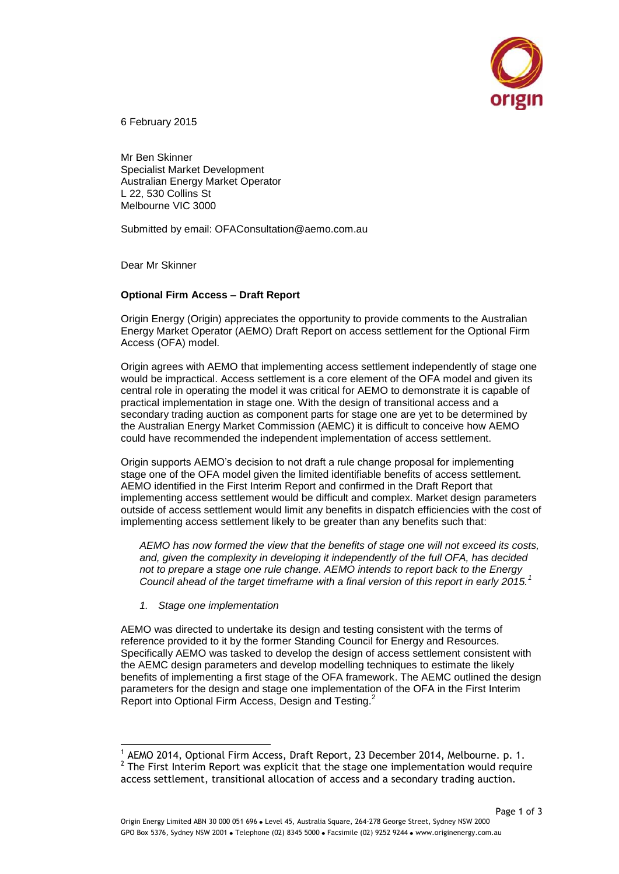

6 February 2015

Mr Ben Skinner Specialist Market Development Australian Energy Market Operator L 22, 530 Collins St Melbourne VIC 3000

Submitted by email: OFAConsultation@aemo.com.au

Dear Mr Skinner

## **Optional Firm Access – Draft Report**

Origin Energy (Origin) appreciates the opportunity to provide comments to the Australian Energy Market Operator (AEMO) Draft Report on access settlement for the Optional Firm Access (OFA) model.

Origin agrees with AEMO that implementing access settlement independently of stage one would be impractical. Access settlement is a core element of the OFA model and given its central role in operating the model it was critical for AEMO to demonstrate it is capable of practical implementation in stage one. With the design of transitional access and a secondary trading auction as component parts for stage one are yet to be determined by the Australian Energy Market Commission (AEMC) it is difficult to conceive how AEMO could have recommended the independent implementation of access settlement.

Origin supports AEMO's decision to not draft a rule change proposal for implementing stage one of the OFA model given the limited identifiable benefits of access settlement. AEMO identified in the First Interim Report and confirmed in the Draft Report that implementing access settlement would be difficult and complex. Market design parameters outside of access settlement would limit any benefits in dispatch efficiencies with the cost of implementing access settlement likely to be greater than any benefits such that:

*AEMO has now formed the view that the benefits of stage one will not exceed its costs, and, given the complexity in developing it independently of the full OFA, has decided not to prepare a stage one rule change. AEMO intends to report back to the Energy Council ahead of the target timeframe with a final version of this report in early 2015.<sup>1</sup>*

*1. Stage one implementation*

-

AEMO was directed to undertake its design and testing consistent with the terms of reference provided to it by the former Standing Council for Energy and Resources. Specifically AEMO was tasked to develop the design of access settlement consistent with the AEMC design parameters and develop modelling techniques to estimate the likely benefits of implementing a first stage of the OFA framework. The AEMC outlined the design parameters for the design and stage one implementation of the OFA in the First Interim Report into Optional Firm Access. Design and Testing.<sup>2</sup>

<sup>1</sup> AEMO 2014, Optional Firm Access, Draft Report, 23 December 2014, Melbourne. p. 1.  $2$  The First Interim Report was explicit that the stage one implementation would require access settlement, transitional allocation of access and a secondary trading auction.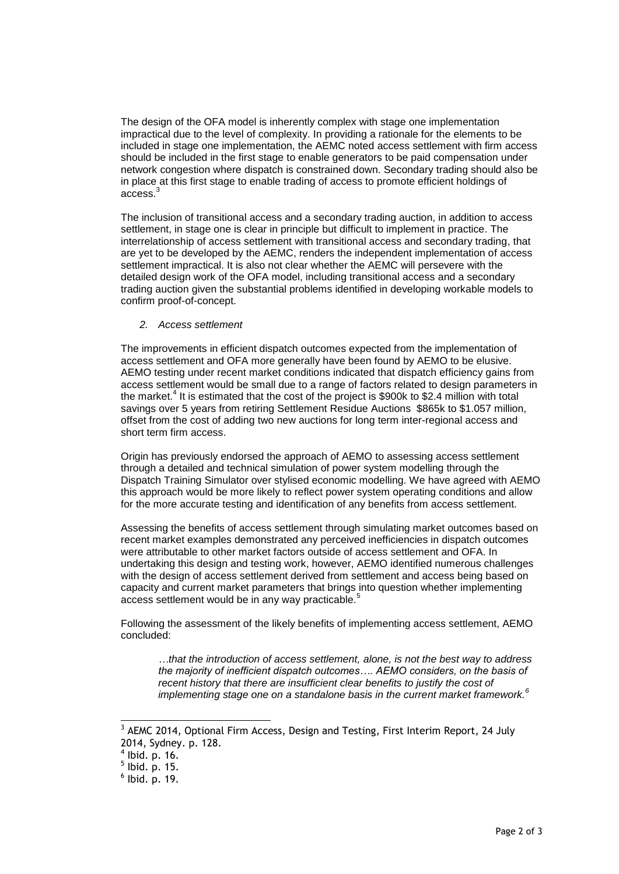The design of the OFA model is inherently complex with stage one implementation impractical due to the level of complexity. In providing a rationale for the elements to be included in stage one implementation, the AEMC noted access settlement with firm access should be included in the first stage to enable generators to be paid compensation under network congestion where dispatch is constrained down. Secondary trading should also be in place at this first stage to enable trading of access to promote efficient holdings of access<sup>3</sup>

The inclusion of transitional access and a secondary trading auction, in addition to access settlement, in stage one is clear in principle but difficult to implement in practice. The interrelationship of access settlement with transitional access and secondary trading, that are yet to be developed by the AEMC, renders the independent implementation of access settlement impractical. It is also not clear whether the AEMC will persevere with the detailed design work of the OFA model, including transitional access and a secondary trading auction given the substantial problems identified in developing workable models to confirm proof-of-concept.

*2. Access settlement*

The improvements in efficient dispatch outcomes expected from the implementation of access settlement and OFA more generally have been found by AEMO to be elusive. AEMO testing under recent market conditions indicated that dispatch efficiency gains from access settlement would be small due to a range of factors related to design parameters in the market.<sup>4</sup> It is estimated that the cost of the project is \$900k to \$2.4 million with total savings over 5 years from retiring Settlement Residue Auctions \$865k to \$1.057 million, offset from the cost of adding two new auctions for long term inter-regional access and short term firm access.

Origin has previously endorsed the approach of AEMO to assessing access settlement through a detailed and technical simulation of power system modelling through the Dispatch Training Simulator over stylised economic modelling. We have agreed with AEMO this approach would be more likely to reflect power system operating conditions and allow for the more accurate testing and identification of any benefits from access settlement.

Assessing the benefits of access settlement through simulating market outcomes based on recent market examples demonstrated any perceived inefficiencies in dispatch outcomes were attributable to other market factors outside of access settlement and OFA. In undertaking this design and testing work, however, AEMO identified numerous challenges with the design of access settlement derived from settlement and access being based on capacity and current market parameters that brings into question whether implementing access settlement would be in any way practicable.<sup>5</sup>

Following the assessment of the likely benefits of implementing access settlement, AEMO concluded:

*…that the introduction of access settlement, alone, is not the best way to address the majority of inefficient dispatch outcomes…. AEMO considers, on the basis of*  recent history that there are insufficient clear benefits to justify the cost of *implementing stage one on a standalone basis in the current market framework.<sup>6</sup>*

-

<sup>&</sup>lt;sup>3</sup> AEMC 2014, Optional Firm Access, Design and Testing, First Interim Report, 24 July 2014, Sydney. p. 128.

 $<sup>4</sup>$  lbid. p. 16.</sup>

 $<sup>5</sup>$  lbid. p. 15.</sup>

 $<sup>6</sup>$  lbid. p. 19.</sup>